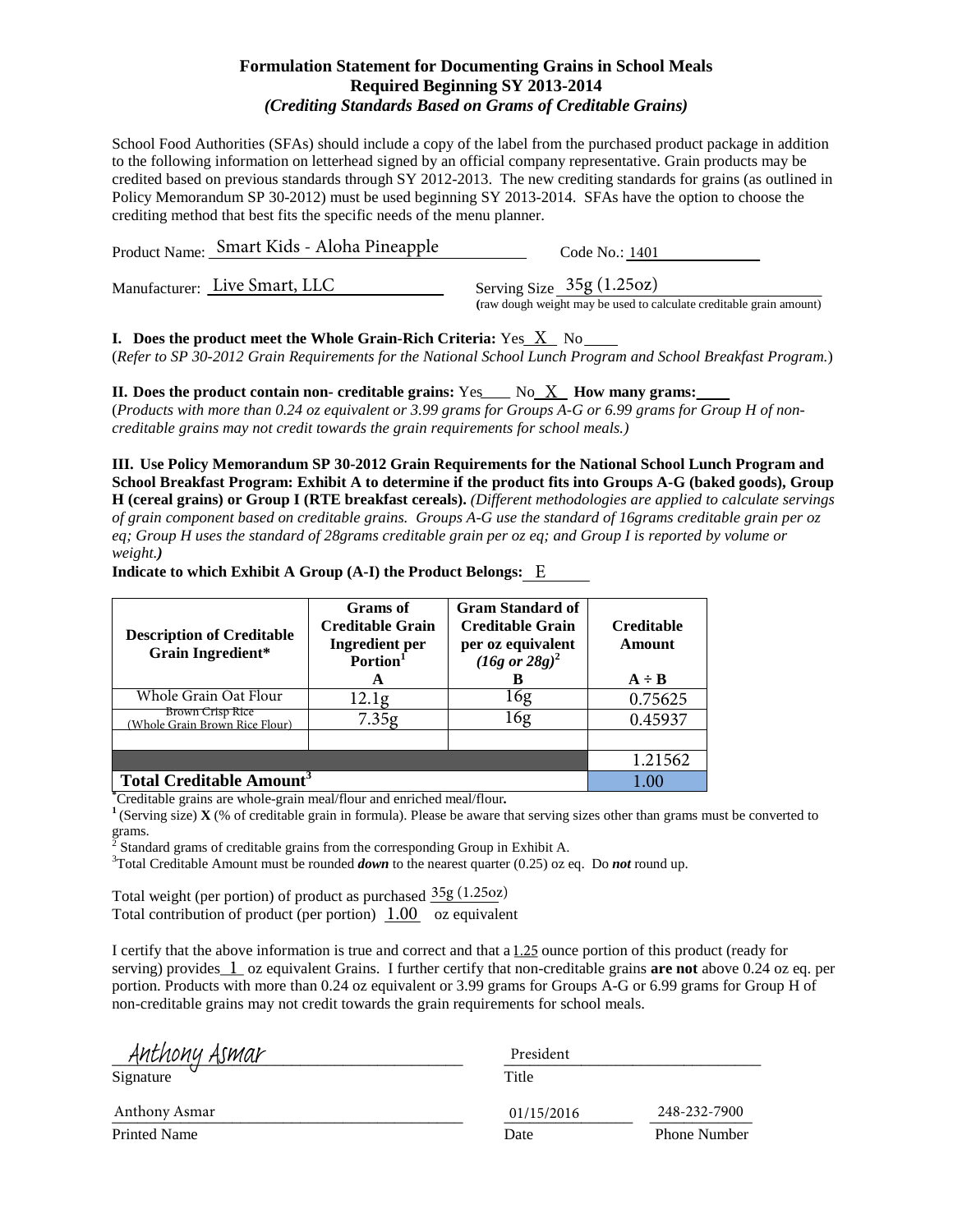School Food Authorities (SFAs) should include a copy of the label from the purchased product package in addition to the following information on letterhead signed by an official company representative. Grain products may be credited based on previous standards through SY 2012-2013. The new crediting standards for grains (as outlined in Policy Memorandum SP 30-2012) must be used beginning SY 2013-2014. SFAs have the option to choose the crediting method that best fits the specific needs of the menu planner.

| Product Name: Smart Kids - Aloha Pineapple | Code No.: 1401                                                                                    |
|--------------------------------------------|---------------------------------------------------------------------------------------------------|
| Manufacturer: Live Smart, LLC              | Serving Size $35g(1.25oz)$<br>(raw dough weight may be used to calculate creditable grain amount) |

**I.** Does the product meet the Whole Grain-Rich Criteria:  $Yes\_X$  No (*Refer to SP 30-2012 Grain Requirements for the National School Lunch Program and School Breakfast Program.*)

**II.** Does the product contain non- creditable grains: Yes\_\_\_ No\_X\_ How many grams: (*Products with more than 0.24 oz equivalent or 3.99 grams for Groups A-G or 6.99 grams for Group H of noncreditable grains may not credit towards the grain requirements for school meals.)*

**III. Use Policy Memorandum SP 30-2012 Grain Requirements for the National School Lunch Program and School Breakfast Program: Exhibit A to determine if the product fits into Groups A-G (baked goods), Group H (cereal grains) or Group I (RTE breakfast cereals).** *(Different methodologies are applied to calculate servings of grain component based on creditable grains. Groups A-G use the standard of 16grams creditable grain per oz eq; Group H uses the standard of 28grams creditable grain per oz eq; and Group I is reported by volume or weight.)*

| <b>Description of Creditable</b><br><b>Grain Ingredient*</b> | Grams of<br><b>Creditable Grain</b><br><b>Ingredient</b> per<br>Portion <sup>1</sup><br>A | <b>Gram Standard of</b><br><b>Creditable Grain</b><br>per oz equivalent<br>$(16g \text{ or } 28g)^2$<br>В | <b>Creditable</b><br>Amount<br>$A \div B$ |
|--------------------------------------------------------------|-------------------------------------------------------------------------------------------|-----------------------------------------------------------------------------------------------------------|-------------------------------------------|
| Whole Grain Oat Flour                                        | 12.1 <sub>g</sub>                                                                         | 16g                                                                                                       | 0.75625                                   |
| <b>Brown Crisp Rice</b><br>Whole Grain Brown Rice Flour)     | 7.35g                                                                                     | 16g                                                                                                       | 0.45937                                   |
|                                                              |                                                                                           |                                                                                                           |                                           |
|                                                              |                                                                                           |                                                                                                           | 1.21562                                   |
| <b>Total Creditable Amount<sup>3</sup></b>                   |                                                                                           |                                                                                                           | L 00                                      |

**Indicate to which Exhibit A Group (A-I) the Product Belongs:**  E

<sup>\*</sup>Creditable grains are whole-grain meal/flour and enriched meal/flour.

<sup>1</sup> (Serving size) **X** (% of creditable grain in formula). Please be aware that serving sizes other than grams must be converted to grams.

<sup>2</sup> Standard grams of creditable grains from the corresponding Group in Exhibit A. <sup>3</sup>

<sup>3</sup>Total Creditable Amount must be rounded *down* to the nearest quarter (0.25) oz eq. Do *not* round up.

Total weight (per portion) of product as purchased  $\frac{35g(1.25oz)}{25g(1.25oz)}$ Total contribution of product (per portion)  $\overline{1.00}$  oz equivalent

| Anthony Asmar       | President  |                     |
|---------------------|------------|---------------------|
| Signature           | Title      |                     |
| Anthony Asmar       | 01/15/2016 | 248-232-7900        |
| <b>Printed Name</b> | Date       | <b>Phone Number</b> |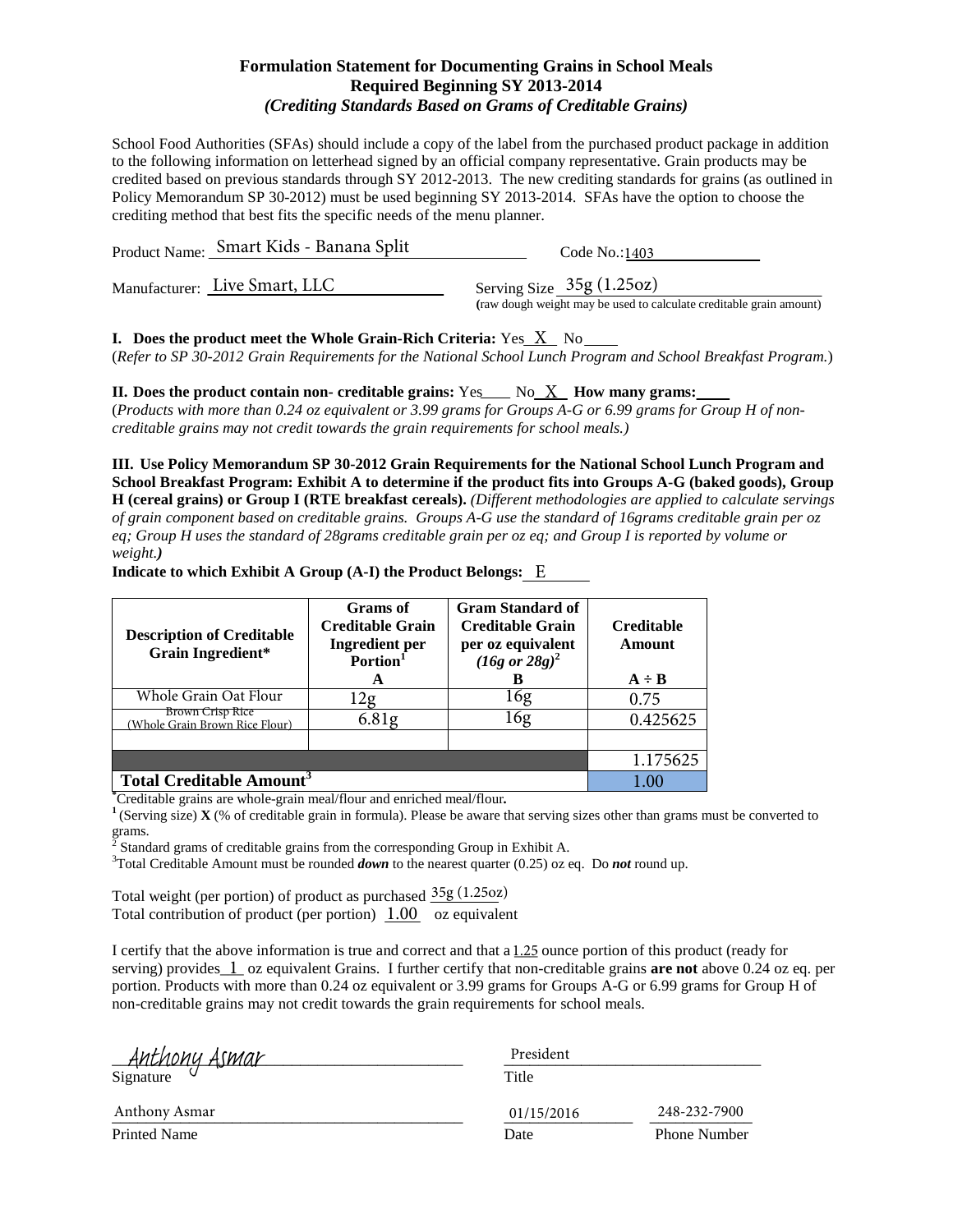School Food Authorities (SFAs) should include a copy of the label from the purchased product package in addition to the following information on letterhead signed by an official company representative. Grain products may be credited based on previous standards through SY 2012-2013. The new crediting standards for grains (as outlined in Policy Memorandum SP 30-2012) must be used beginning SY 2013-2014. SFAs have the option to choose the crediting method that best fits the specific needs of the menu planner.

| Product Name: Smart Kids - Banana Split | Code No.:1403                                                                                     |
|-----------------------------------------|---------------------------------------------------------------------------------------------------|
| Manufacturer: Live Smart, LLC           | Serving Size $35g(1.25oz)$<br>(raw dough weight may be used to calculate creditable grain amount) |

**I.** Does the product meet the Whole Grain-Rich Criteria:  $Yes\_X$  No

(*Refer to SP 30-2012 Grain Requirements for the National School Lunch Program and School Breakfast Program.*)

**II.** Does the product contain non- creditable grains: Yes\_\_\_ No\_X\_ How many grams: (*Products with more than 0.24 oz equivalent or 3.99 grams for Groups A-G or 6.99 grams for Group H of noncreditable grains may not credit towards the grain requirements for school meals.)*

**III. Use Policy Memorandum SP 30-2012 Grain Requirements for the National School Lunch Program and School Breakfast Program: Exhibit A to determine if the product fits into Groups A-G (baked goods), Group H (cereal grains) or Group I (RTE breakfast cereals).** *(Different methodologies are applied to calculate servings of grain component based on creditable grains. Groups A-G use the standard of 16grams creditable grain per oz eq; Group H uses the standard of 28grams creditable grain per oz eq; and Group I is reported by volume or weight.)*

| <b>Description of Creditable</b><br><b>Grain Ingredient*</b> | <b>Grams</b> of<br><b>Creditable Grain</b><br><b>Ingredient</b> per<br>Portion <sup>1</sup><br>A | <b>Gram Standard of</b><br><b>Creditable Grain</b><br>per oz equivalent<br>$(16g \text{ or } 28g)^2$<br>в | <b>Creditable</b><br><b>Amount</b><br>$A \div B$ |
|--------------------------------------------------------------|--------------------------------------------------------------------------------------------------|-----------------------------------------------------------------------------------------------------------|--------------------------------------------------|
| Whole Grain Oat Flour                                        | Ζg                                                                                               | 16g                                                                                                       | 0.75                                             |
| <b>Brown Crisp Rice</b><br>(Whole Grain Brown Rice Flour)    | 6.81 <sub>g</sub>                                                                                | 16g                                                                                                       | 0.425625                                         |
|                                                              |                                                                                                  |                                                                                                           |                                                  |
|                                                              |                                                                                                  |                                                                                                           | 1.175625                                         |
| <b>Total Creditable Amount<sup>3</sup></b>                   |                                                                                                  |                                                                                                           |                                                  |

**Indicate to which Exhibit A Group (A-I) the Product Belongs:**  E

<sup>\*</sup>Creditable grains are whole-grain meal/flour and enriched meal/flour.

<sup>1</sup> (Serving size) **X** (% of creditable grain in formula). Please be aware that serving sizes other than grams must be converted to grams.

<sup>2</sup> Standard grams of creditable grains from the corresponding Group in Exhibit A. <sup>3</sup>

<sup>3</sup>Total Creditable Amount must be rounded *down* to the nearest quarter (0.25) oz eq. Do *not* round up.

Total weight (per portion) of product as purchased  $\frac{35g(1.25oz)}{25g(1.25oz)}$ Total contribution of product (per portion)  $\overline{1.00}$  oz equivalent

|                                         | President  |                     |
|-----------------------------------------|------------|---------------------|
| . Anthony Asmar<br><sub>Signature</sub> | Title      |                     |
| Anthony Asmar                           | 01/15/2016 | 248-232-7900        |
| <b>Printed Name</b>                     | Date       | <b>Phone Number</b> |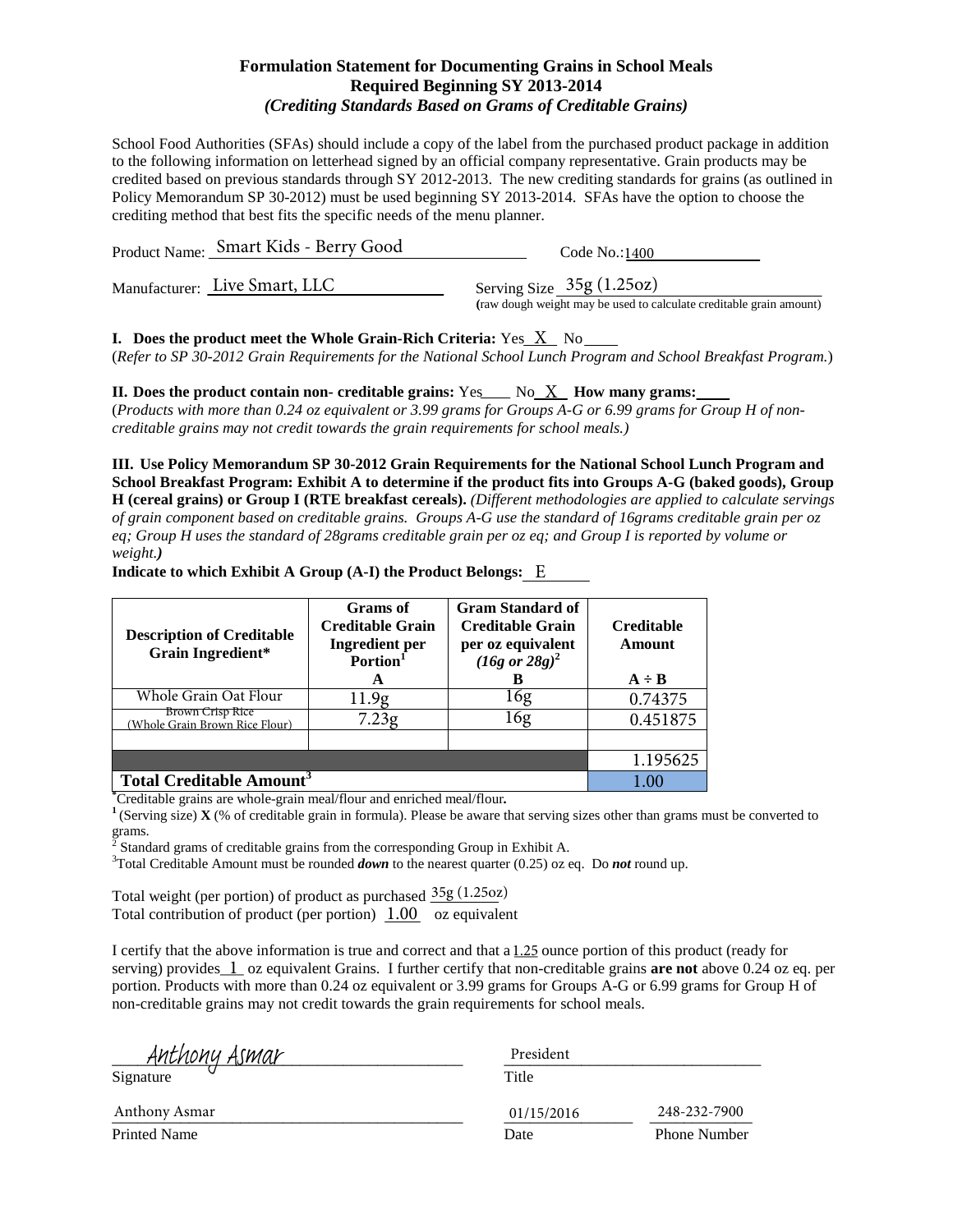School Food Authorities (SFAs) should include a copy of the label from the purchased product package in addition to the following information on letterhead signed by an official company representative. Grain products may be credited based on previous standards through SY 2012-2013. The new crediting standards for grains (as outlined in Policy Memorandum SP 30-2012) must be used beginning SY 2013-2014. SFAs have the option to choose the crediting method that best fits the specific needs of the menu planner.

| Product Name: Smart Kids - Berry Good | Code No.:1400                                                                                     |
|---------------------------------------|---------------------------------------------------------------------------------------------------|
| Manufacturer: Live Smart, LLC         | Serving Size $35g(1.25oz)$<br>(raw dough weight may be used to calculate creditable grain amount) |
|                                       |                                                                                                   |

**I.** Does the product meet the Whole Grain-Rich Criteria:  $Yes\_X$  No

(*Refer to SP 30-2012 Grain Requirements for the National School Lunch Program and School Breakfast Program.*)

**II.** Does the product contain non- creditable grains: Yes\_\_\_ No\_X\_ How many grams: (*Products with more than 0.24 oz equivalent or 3.99 grams for Groups A-G or 6.99 grams for Group H of noncreditable grains may not credit towards the grain requirements for school meals.)*

**III. Use Policy Memorandum SP 30-2012 Grain Requirements for the National School Lunch Program and School Breakfast Program: Exhibit A to determine if the product fits into Groups A-G (baked goods), Group H (cereal grains) or Group I (RTE breakfast cereals).** *(Different methodologies are applied to calculate servings of grain component based on creditable grains. Groups A-G use the standard of 16grams creditable grain per oz eq; Group H uses the standard of 28grams creditable grain per oz eq; and Group I is reported by volume or weight.)*

| <b>Description of Creditable</b><br><b>Grain Ingredient*</b> | <b>Grams</b> of<br><b>Creditable Grain</b><br><b>Ingredient</b> per<br>Portion <sup>1</sup><br>A | <b>Gram Standard of</b><br><b>Creditable Grain</b><br>per oz equivalent<br>$(16g \text{ or } 28g)^2$<br>в | <b>Creditable</b><br><b>Amount</b><br>$A \div B$ |
|--------------------------------------------------------------|--------------------------------------------------------------------------------------------------|-----------------------------------------------------------------------------------------------------------|--------------------------------------------------|
| Whole Grain Oat Flour                                        | 11.9g                                                                                            | 16g                                                                                                       | 0.74375                                          |
| <b>Brown Crisp Rice</b><br>(Whole Grain Brown Rice Flour)    | 7.23g                                                                                            | 16g                                                                                                       | 0.451875                                         |
|                                                              |                                                                                                  |                                                                                                           |                                                  |
|                                                              |                                                                                                  |                                                                                                           | 1.195625                                         |
| <b>Total Creditable Amount<sup>3</sup></b>                   |                                                                                                  |                                                                                                           |                                                  |

**Indicate to which Exhibit A Group (A-I) the Product Belongs:**  E

<sup>\*</sup>Creditable grains are whole-grain meal/flour and enriched meal/flour.

<sup>1</sup> (Serving size) **X** (% of creditable grain in formula). Please be aware that serving sizes other than grams must be converted to grams.

<sup>2</sup> Standard grams of creditable grains from the corresponding Group in Exhibit A. <sup>3</sup>

<sup>3</sup>Total Creditable Amount must be rounded *down* to the nearest quarter (0.25) oz eq. Do *not* round up.

Total weight (per portion) of product as purchased  $\frac{35g(1.25oz)}{25g(1.25oz)}$ Total contribution of product (per portion)  $\overline{1.00}$  oz equivalent

| Ant <u>hony Asmar</u> | President  |                     |
|-----------------------|------------|---------------------|
| Signature             | Title      |                     |
| Anthony Asmar         | 01/15/2016 | 248-232-7900        |
| Printed Name          | Date       | <b>Phone Number</b> |